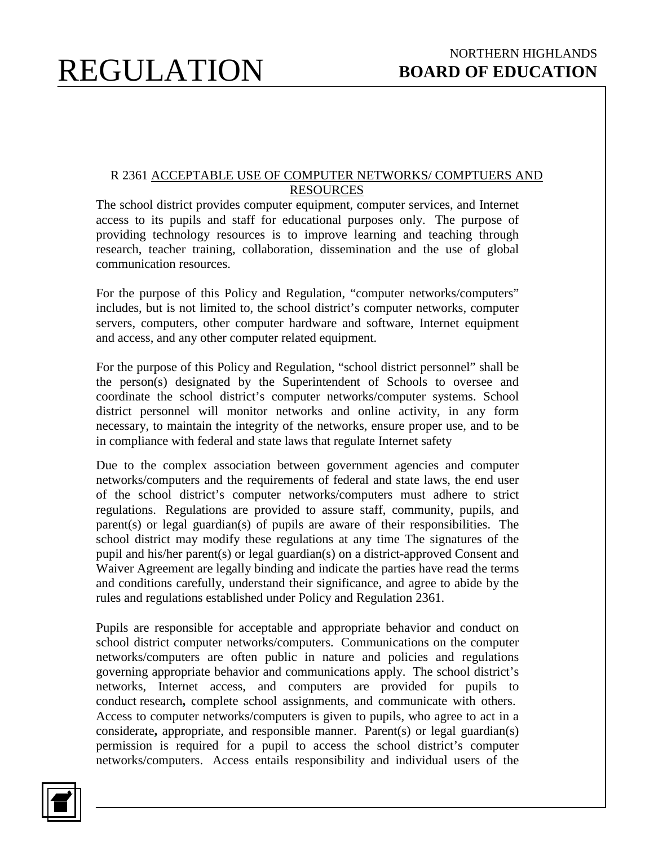#### R 2361 ACCEPTABLE USE OF COMPUTER NETWORKS/ COMPTUERS AND RESOURCES

The school district provides computer equipment, computer services, and Internet access to its pupils and staff for educational purposes only. The purpose of providing technology resources is to improve learning and teaching through research, teacher training, collaboration, dissemination and the use of global communication resources.

For the purpose of this Policy and Regulation, "computer networks/computers" includes, but is not limited to, the school district's computer networks, computer servers, computers, other computer hardware and software, Internet equipment and access, and any other computer related equipment.

For the purpose of this Policy and Regulation, "school district personnel" shall be the person(s) designated by the Superintendent of Schools to oversee and coordinate the school district's computer networks/computer systems. School district personnel will monitor networks and online activity, in any form necessary, to maintain the integrity of the networks, ensure proper use, and to be in compliance with federal and state laws that regulate Internet safety

Due to the complex association between government agencies and computer networks/computers and the requirements of federal and state laws, the end user of the school district's computer networks/computers must adhere to strict regulations. Regulations are provided to assure staff, community, pupils, and parent(s) or legal guardian(s) of pupils are aware of their responsibilities. The school district may modify these regulations at any time The signatures of the pupil and his/her parent(s) or legal guardian(s) on a district-approved Consent and Waiver Agreement are legally binding and indicate the parties have read the terms and conditions carefully, understand their significance, and agree to abide by the rules and regulations established under Policy and Regulation 2361.

Pupils are responsible for acceptable and appropriate behavior and conduct on school district computer networks/computers. Communications on the computer networks/computers are often public in nature and policies and regulations governing appropriate behavior and communications apply. The school district's networks, Internet access, and computers are provided for pupils to conduct research**,** complete school assignments, and communicate with others. Access to computer networks/computers is given to pupils, who agree to act in a considerate**,** appropriate, and responsible manner. Parent(s) or legal guardian(s) permission is required for a pupil to access the school district's computer networks/computers. Access entails responsibility and individual users of the

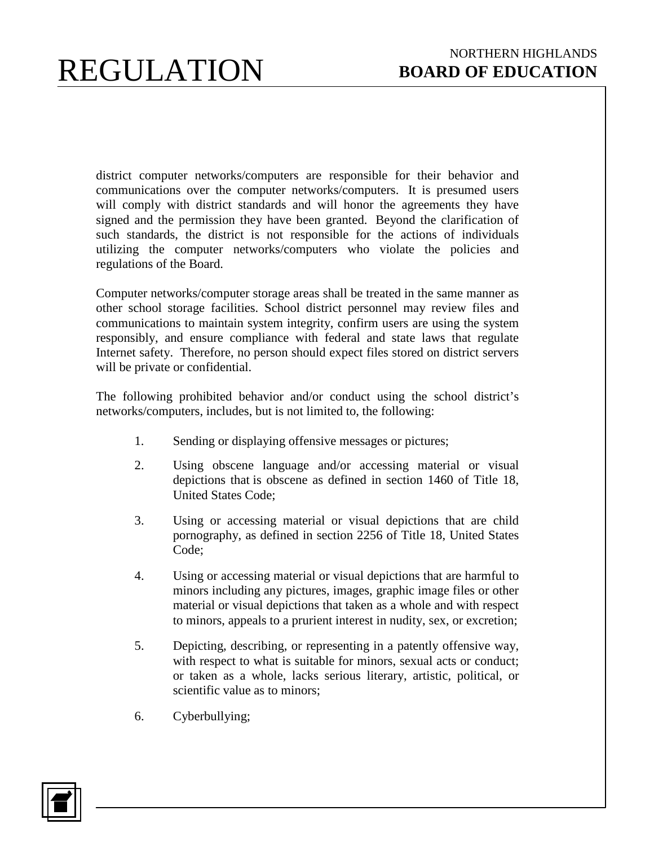district computer networks/computers are responsible for their behavior and communications over the computer networks/computers. It is presumed users will comply with district standards and will honor the agreements they have signed and the permission they have been granted. Beyond the clarification of such standards, the district is not responsible for the actions of individuals utilizing the computer networks/computers who violate the policies and regulations of the Board.

Computer networks/computer storage areas shall be treated in the same manner as other school storage facilities. School district personnel may review files and communications to maintain system integrity, confirm users are using the system responsibly, and ensure compliance with federal and state laws that regulate Internet safety. Therefore, no person should expect files stored on district servers will be private or confidential.

The following prohibited behavior and/or conduct using the school district's networks/computers, includes, but is not limited to, the following:

- 1. Sending or displaying offensive messages or pictures;
- 2. Using obscene language and/or accessing material or visual depictions that is obscene as defined in section 1460 of Title 18, United States Code;
- 3. Using or accessing material or visual depictions that are child pornography, as defined in section 2256 of Title 18, United States Code;
- 4. Using or accessing material or visual depictions that are harmful to minors including any pictures, images, graphic image files or other material or visual depictions that taken as a whole and with respect to minors, appeals to a prurient interest in nudity, sex, or excretion;
- 5. Depicting, describing, or representing in a patently offensive way, with respect to what is suitable for minors, sexual acts or conduct; or taken as a whole, lacks serious literary, artistic, political, or scientific value as to minors;
- 6. Cyberbullying;

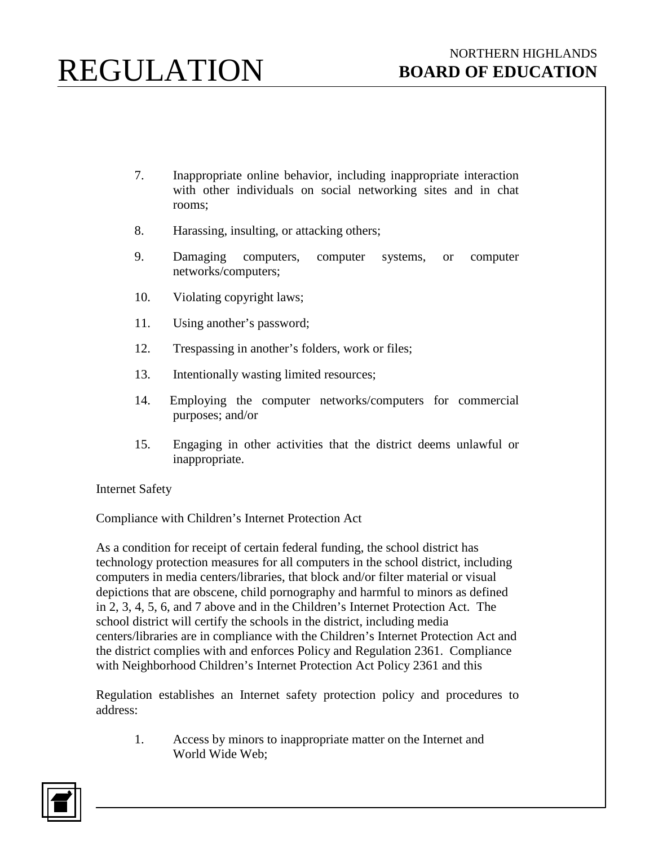- 7. Inappropriate online behavior, including inappropriate interaction with other individuals on social networking sites and in chat rooms;
- 8. Harassing, insulting, or attacking others;
- 9. Damaging computers, computer systems, or computer networks/computers;
- 10. Violating copyright laws;
- 11. Using another's password;
- 12. Trespassing in another's folders, work or files;
- 13. Intentionally wasting limited resources;
- 14. Employing the computer networks/computers for commercial purposes; and/or
- 15. Engaging in other activities that the district deems unlawful or inappropriate.

Internet Safety

Compliance with Children's Internet Protection Act

As a condition for receipt of certain federal funding, the school district has technology protection measures for all computers in the school district, including computers in media centers/libraries, that block and/or filter material or visual depictions that are obscene, child pornography and harmful to minors as defined in 2, 3, 4, 5, 6, and 7 above and in the Children's Internet Protection Act. The school district will certify the schools in the district, including media centers/libraries are in compliance with the Children's Internet Protection Act and the district complies with and enforces Policy and Regulation 2361. Compliance with Neighborhood Children's Internet Protection Act Policy 2361 and this

Regulation establishes an Internet safety protection policy and procedures to address:

1. Access by minors to inappropriate matter on the Internet and World Wide Web;

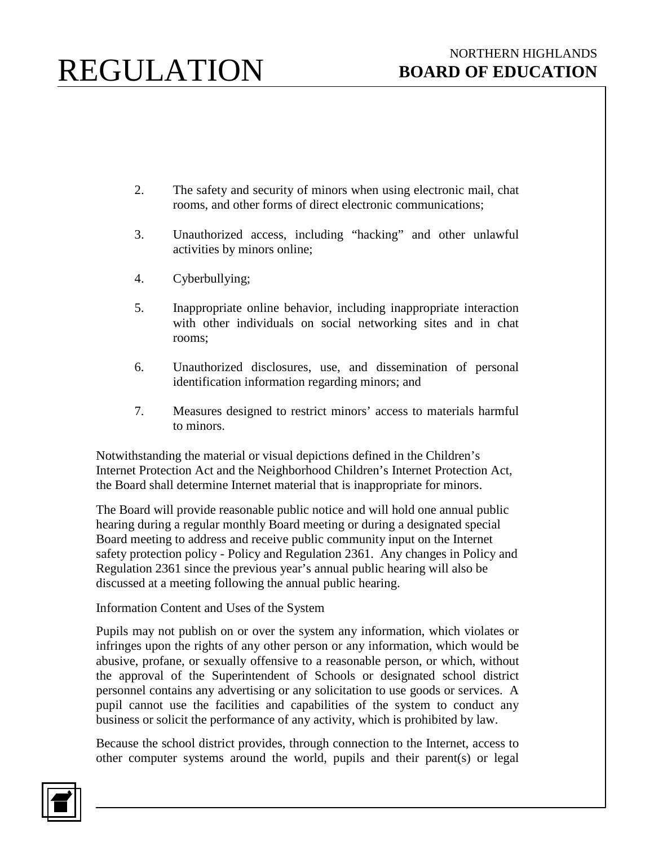- 2. The safety and security of minors when using electronic mail, chat rooms, and other forms of direct electronic communications;
- 3. Unauthorized access, including "hacking" and other unlawful activities by minors online;
- 4. Cyberbullying;
- 5. Inappropriate online behavior, including inappropriate interaction with other individuals on social networking sites and in chat rooms;
- 6. Unauthorized disclosures, use, and dissemination of personal identification information regarding minors; and
- 7. Measures designed to restrict minors' access to materials harmful to minors.

Notwithstanding the material or visual depictions defined in the Children's Internet Protection Act and the Neighborhood Children's Internet Protection Act, the Board shall determine Internet material that is inappropriate for minors.

The Board will provide reasonable public notice and will hold one annual public hearing during a regular monthly Board meeting or during a designated special Board meeting to address and receive public community input on the Internet safety protection policy - Policy and Regulation 2361. Any changes in Policy and Regulation 2361 since the previous year's annual public hearing will also be discussed at a meeting following the annual public hearing.

### Information Content and Uses of the System

Pupils may not publish on or over the system any information, which violates or infringes upon the rights of any other person or any information, which would be abusive, profane, or sexually offensive to a reasonable person, or which, without the approval of the Superintendent of Schools or designated school district personnel contains any advertising or any solicitation to use goods or services. A pupil cannot use the facilities and capabilities of the system to conduct any business or solicit the performance of any activity, which is prohibited by law.

Because the school district provides, through connection to the Internet, access to other computer systems around the world, pupils and their parent(s) or legal

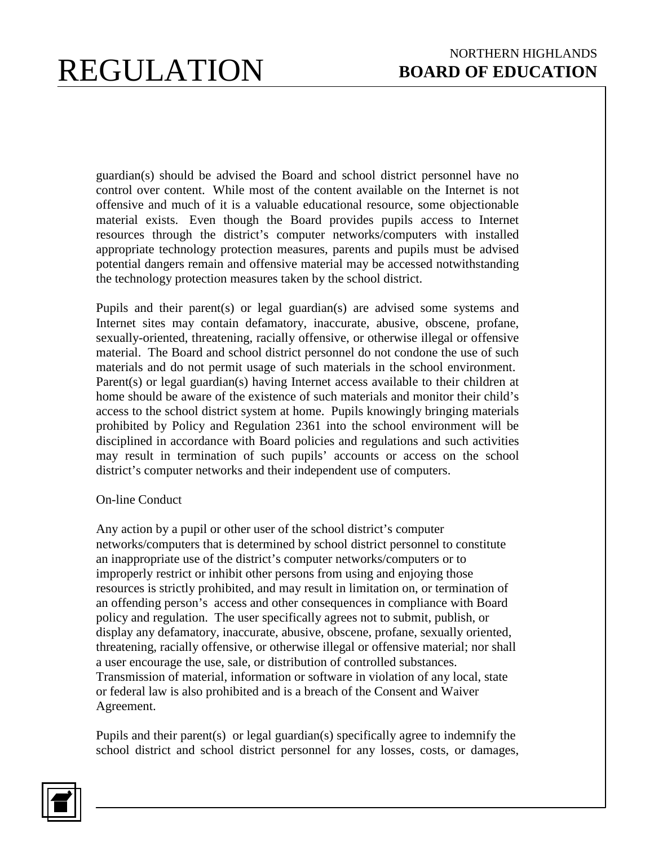guardian(s) should be advised the Board and school district personnel have no control over content. While most of the content available on the Internet is not offensive and much of it is a valuable educational resource, some objectionable material exists. Even though the Board provides pupils access to Internet resources through the district's computer networks/computers with installed appropriate technology protection measures, parents and pupils must be advised potential dangers remain and offensive material may be accessed notwithstanding the technology protection measures taken by the school district.

Pupils and their parent(s) or legal guardian(s) are advised some systems and Internet sites may contain defamatory, inaccurate, abusive, obscene, profane, sexually-oriented, threatening, racially offensive, or otherwise illegal or offensive material. The Board and school district personnel do not condone the use of such materials and do not permit usage of such materials in the school environment. Parent(s) or legal guardian(s) having Internet access available to their children at home should be aware of the existence of such materials and monitor their child's access to the school district system at home. Pupils knowingly bringing materials prohibited by Policy and Regulation 2361 into the school environment will be disciplined in accordance with Board policies and regulations and such activities may result in termination of such pupils' accounts or access on the school district's computer networks and their independent use of computers.

### On-line Conduct

Any action by a pupil or other user of the school district's computer networks/computers that is determined by school district personnel to constitute an inappropriate use of the district's computer networks/computers or to improperly restrict or inhibit other persons from using and enjoying those resources is strictly prohibited, and may result in limitation on, or termination of an offending person's access and other consequences in compliance with Board policy and regulation. The user specifically agrees not to submit, publish, or display any defamatory, inaccurate, abusive, obscene, profane, sexually oriented, threatening, racially offensive, or otherwise illegal or offensive material; nor shall a user encourage the use, sale, or distribution of controlled substances. Transmission of material, information or software in violation of any local, state or federal law is also prohibited and is a breach of the Consent and Waiver Agreement.

Pupils and their parent(s) or legal guardian(s) specifically agree to indemnify the school district and school district personnel for any losses, costs, or damages,

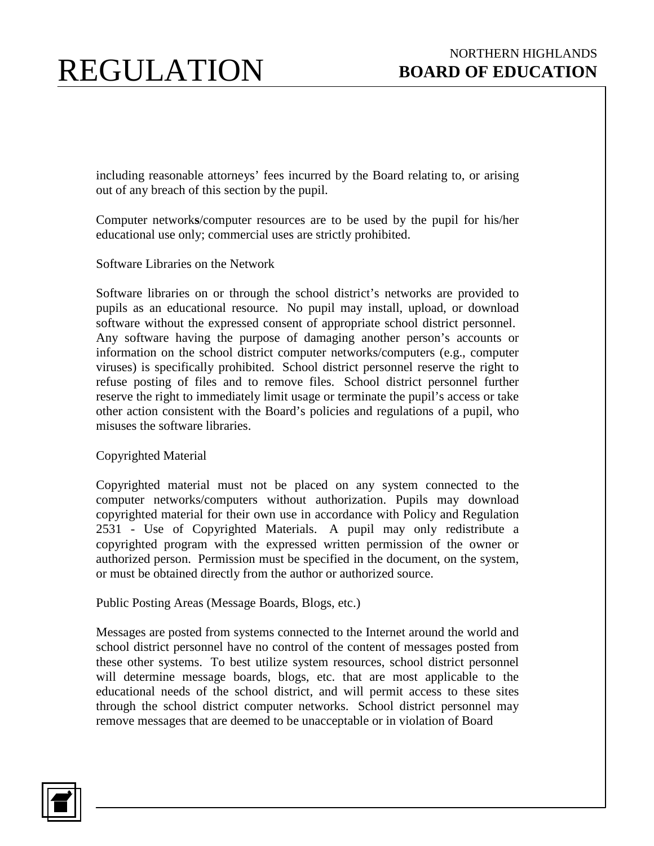including reasonable attorneys' fees incurred by the Board relating to, or arising out of any breach of this section by the pupil.

Computer network**s**/computer resources are to be used by the pupil for his/her educational use only; commercial uses are strictly prohibited.

Software Libraries on the Network

Software libraries on or through the school district's networks are provided to pupils as an educational resource. No pupil may install, upload, or download software without the expressed consent of appropriate school district personnel. Any software having the purpose of damaging another person's accounts or information on the school district computer networks/computers (e.g., computer viruses) is specifically prohibited. School district personnel reserve the right to refuse posting of files and to remove files. School district personnel further reserve the right to immediately limit usage or terminate the pupil's access or take other action consistent with the Board's policies and regulations of a pupil, who misuses the software libraries.

Copyrighted Material

Copyrighted material must not be placed on any system connected to the computer networks/computers without authorization. Pupils may download copyrighted material for their own use in accordance with Policy and Regulation 2531 - Use of Copyrighted Materials. A pupil may only redistribute a copyrighted program with the expressed written permission of the owner or authorized person. Permission must be specified in the document, on the system, or must be obtained directly from the author or authorized source.

Public Posting Areas (Message Boards, Blogs, etc.)

Messages are posted from systems connected to the Internet around the world and school district personnel have no control of the content of messages posted from these other systems. To best utilize system resources, school district personnel will determine message boards, blogs, etc. that are most applicable to the educational needs of the school district, and will permit access to these sites through the school district computer networks. School district personnel may remove messages that are deemed to be unacceptable or in violation of Board

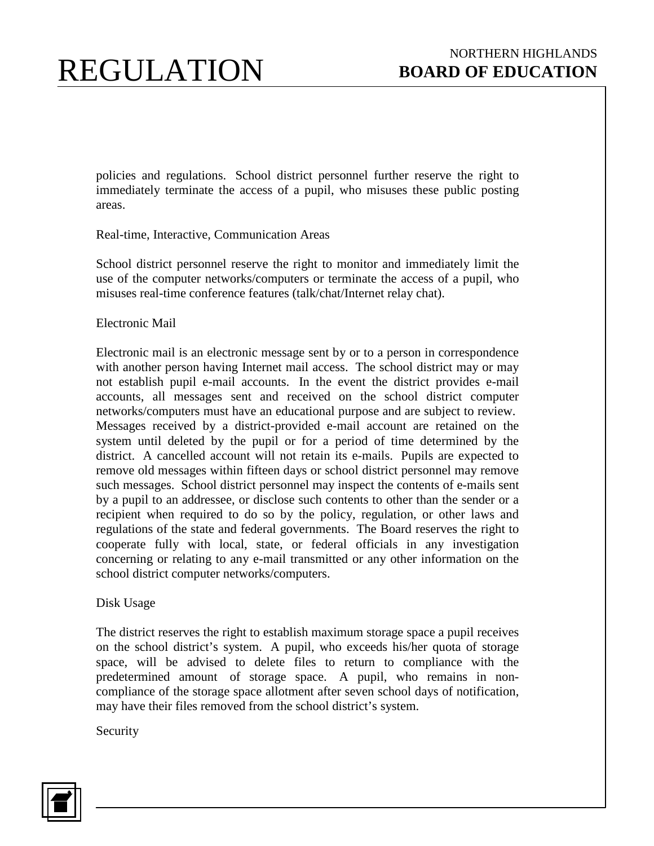policies and regulations. School district personnel further reserve the right to immediately terminate the access of a pupil, who misuses these public posting areas.

Real-time, Interactive, Communication Areas

School district personnel reserve the right to monitor and immediately limit the use of the computer networks/computers or terminate the access of a pupil, who misuses real-time conference features (talk/chat/Internet relay chat).

#### Electronic Mail

Electronic mail is an electronic message sent by or to a person in correspondence with another person having Internet mail access. The school district may or may not establish pupil e-mail accounts. In the event the district provides e-mail accounts, all messages sent and received on the school district computer networks/computers must have an educational purpose and are subject to review. Messages received by a district-provided e-mail account are retained on the system until deleted by the pupil or for a period of time determined by the district. A cancelled account will not retain its e-mails. Pupils are expected to remove old messages within fifteen days or school district personnel may remove such messages. School district personnel may inspect the contents of e-mails sent by a pupil to an addressee, or disclose such contents to other than the sender or a recipient when required to do so by the policy, regulation, or other laws and regulations of the state and federal governments. The Board reserves the right to cooperate fully with local, state, or federal officials in any investigation concerning or relating to any e-mail transmitted or any other information on the school district computer networks/computers.

#### Disk Usage

The district reserves the right to establish maximum storage space a pupil receives on the school district's system. A pupil, who exceeds his/her quota of storage space, will be advised to delete files to return to compliance with the predetermined amount of storage space. A pupil, who remains in noncompliance of the storage space allotment after seven school days of notification, may have their files removed from the school district's system.

Security

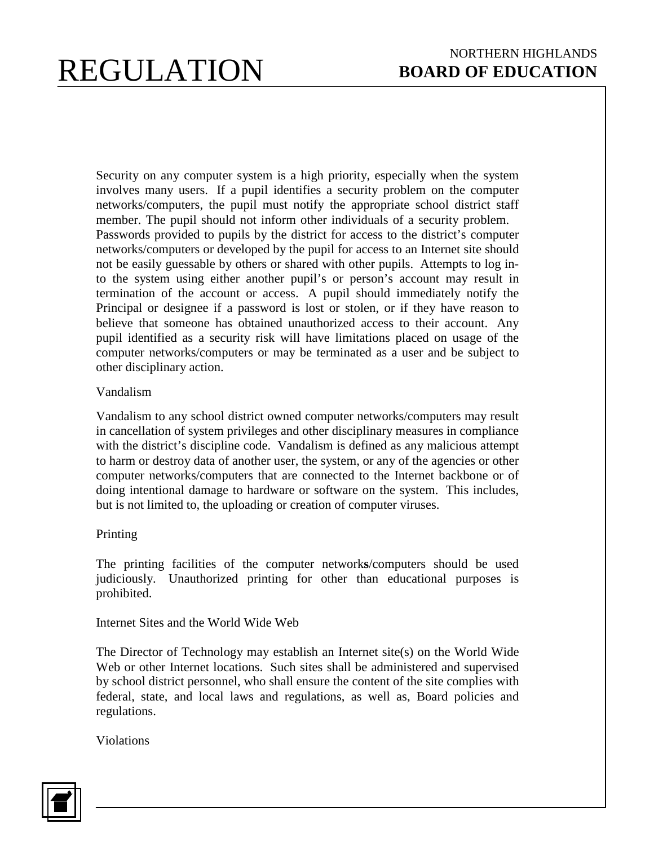Security on any computer system is a high priority, especially when the system involves many users. If a pupil identifies a security problem on the computer networks/computers, the pupil must notify the appropriate school district staff member. The pupil should not inform other individuals of a security problem. Passwords provided to pupils by the district for access to the district's computer networks/computers or developed by the pupil for access to an Internet site should not be easily guessable by others or shared with other pupils. Attempts to log into the system using either another pupil's or person's account may result in termination of the account or access. A pupil should immediately notify the Principal or designee if a password is lost or stolen, or if they have reason to believe that someone has obtained unauthorized access to their account. Any pupil identified as a security risk will have limitations placed on usage of the computer networks/computers or may be terminated as a user and be subject to other disciplinary action.

#### Vandalism

Vandalism to any school district owned computer networks/computers may result in cancellation of system privileges and other disciplinary measures in compliance with the district's discipline code. Vandalism is defined as any malicious attempt to harm or destroy data of another user, the system, or any of the agencies or other computer networks/computers that are connected to the Internet backbone or of doing intentional damage to hardware or software on the system. This includes, but is not limited to, the uploading or creation of computer viruses.

### Printing

The printing facilities of the computer network**s**/computers should be used judiciously. Unauthorized printing for other than educational purposes is prohibited.

Internet Sites and the World Wide Web

The Director of Technology may establish an Internet site(s) on the World Wide Web or other Internet locations. Such sites shall be administered and supervised by school district personnel, who shall ensure the content of the site complies with federal, state, and local laws and regulations, as well as, Board policies and regulations.

Violations